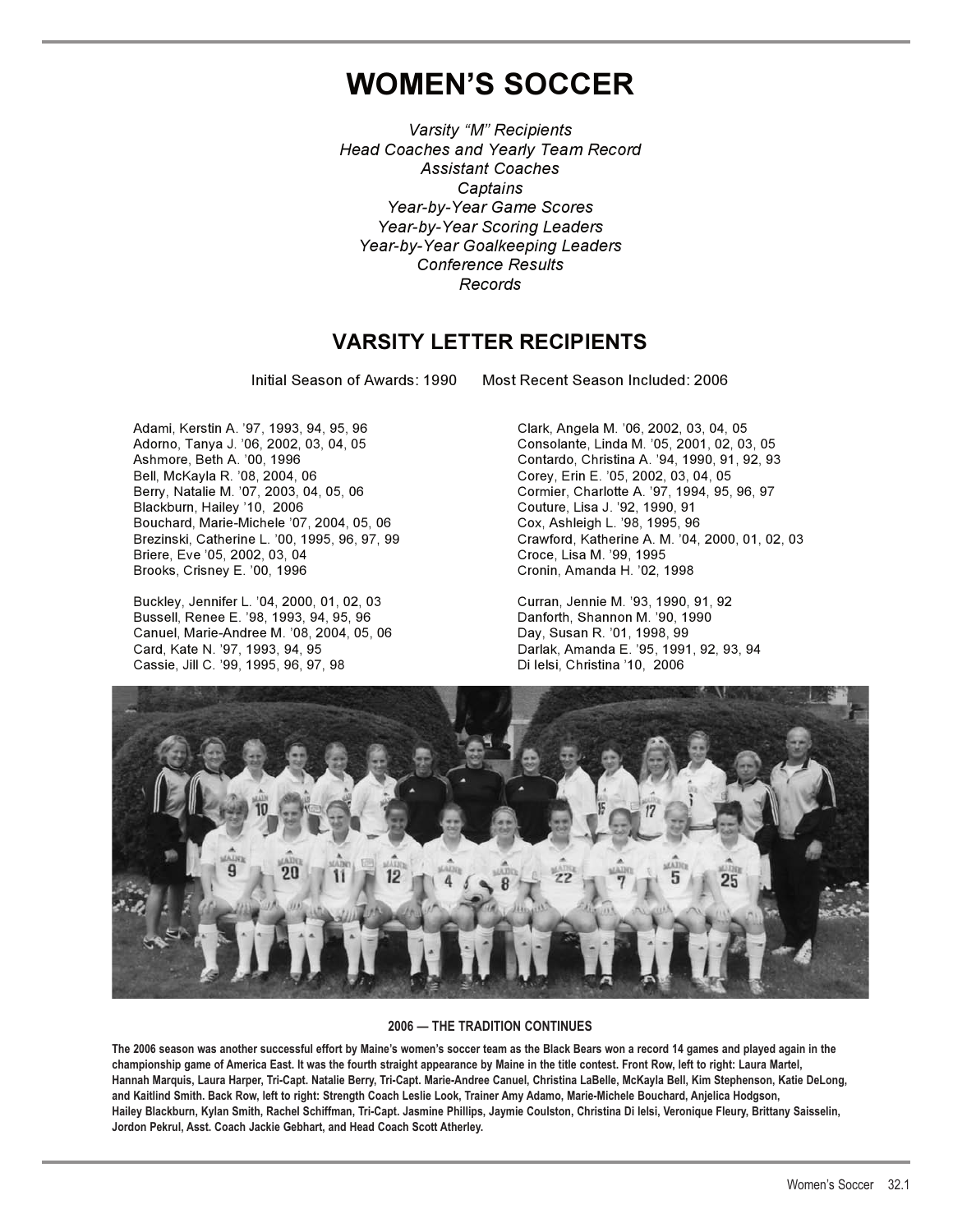# **WOMEN'S SOCCER**

*Varsity "M" Recipients Head Coaches and Yearly Team Record Assistant Coaches Captains Year-by-Year Game Scores Year-by-Year Scoring Leaders Year-by-Year Goalkeeping Leaders Conference Results Records* 

## **VARSITY LETTER RECIPIENTS**

Initial Season of Awards: 1990 Most Recent Season Included: 2006

Adami, Kerstin A. '97, 1993, 94, 95, 96 Clark, Angela M. '06, 2002, 03, 04, 05 Adorno, Tanya J. '06, 2002, 03, 04, 05 Consolante, Linda M. '05, 2001, 02, 03, 05 Bell, McKayla R. '08, 2004, 06 Corey, Erin E. '05, 2002, 03, 04, 05<br>Berry, Natalie M. '07, 2003, 04, 05, 06 Corey, Charlotte A. '97, 1994, 95, Berry, Natalie M. '07, 2003, 04, 05, 06 Cormier, Charlotte A. '97, 1994, 95, 96, 97<br>Blackburn, Hailey '10, 2006 Couture, Lisa J. '92, 1990, 91 Bouchard, Marie-Michele '07, 2004, 05, 06<br>Brezinski, Catherine L. '00, 1995, 96, 97, 99 Briere, Eve '05, 2002, 03, 04<br>Brooks, Crisney E. '00, 1996

Buckley, Jennifer L. '04, 2000, 01, 02, 03 Curran, Jennie M. '93, 1990, 91, 92 Bussell, Renee E. '98, 1993, 94, 95, 96 Canuel, Marie-Andree M. '08, 2004, 05, 06 Day, Susan R. '01, 1998, 99<br>Card, Kate N. '97, 1993, 94, 95 Card, Mariak, Amanda E. '95, 1991 Cassie, Jill C. '99, 1995, 96, 97, 98

Contardo, Christina A. '94, 1990, 91, 92, 93 Couture, Lisa J. '92, 1990, 91<br>Cox, Ashleigh L. '98, 1995, 96 Crawford, Katherine A. M. '04, 2000, 01, 02, 03<br>Croce, Lisa M. '99, 1995 Cronin, Amanda H. '02, 1998

Darlak, Amanda E. '95, 1991, 92, 93, 94<br>Di lelsi, Christina '10, 2006



### **2006 — THE TRADITION CONTINUES**

**The 2006 season was another successful effort by Maine's women's soccer team as the Black Bears won a record 14 games and played again in the championship game of America East. It was the fourth straight appearance by Maine in the title contest. Front Row, left to right: Laura Martel, Hannah Marquis, Laura Harper, Tri-Capt. Natalie Berry, Tri-Capt. Marie-Andree Canuel, Christina LaBelle, McKayla Bell, Kim Stephenson, Katie DeLong, and Kaitlind Smith. Back Row, left to right: Strength Coach Leslie Look, Trainer Amy Adamo, Marie-Michele Bouchard, Anjelica Hodgson, Hailey Blackburn, Kylan Smith, Rachel Schiffman, Tri-Capt. Jasmine Phillips, Jaymie Coulston, Christina Di Ielsi, Veronique Fleury, Brittany Saisselin, Jordon Pekrul, Asst. Coach Jackie Gebhart, and Head Coach Scott Atherley.**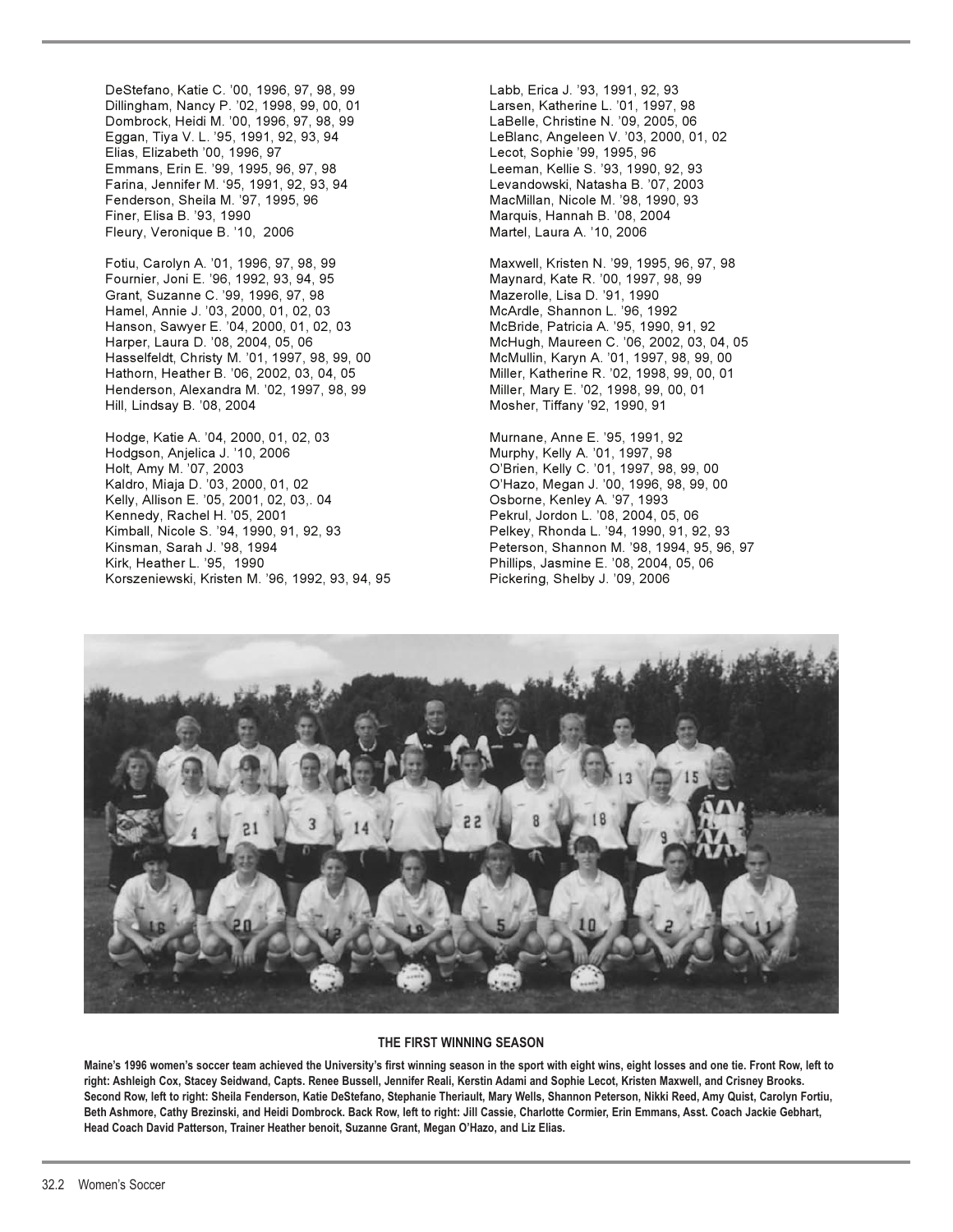DeStefano, Katie C. '00, 1996, 97, 98, 99 Labb, Erica J. '93, 1991, 92, 93 Dillingham, Nancy P. '02, 1998, 99, 00, 01 Larsen, Katherine L. '01, 1997, 98 Dombrock, Heidi M. '00, 1996, 97, 98, 99 LaBelle, Christine N. '09, 2005, 06 Eggan, Tiya V. L. '95, 1991, 92, 93, 94 LeBlanc, Angeleen V. '03, 2000, 01, 02 Elias, Elizabeth '00, 1996, 97 Emmans, Erin E. '99, 1995, 96, 97, 98 Leeman, Kellie S. '93, 1990, 92, 93 Farina, Jennifer M. '95, 1991, 92, 93, 94 Levandowski, Natasha B. '07, 2003 Fenderson, Sheila M. '97, 1995, 96 MacMillan, Nicole M. '98, 1990, 93 Finer, Elisa B. '93, 1990 Marquis, Hannah B. '08, 2004 Fleury, Veronique B. '10, 2006 Martel, Laura A. '10, 2006

Fournier, Joni E. '96, 1992, 93, 94, 95 Maynard, Kate R. '00, 1997, 98, 99 Grant, Suzanne C. '99, 1996, 97, 98 Mazerolle, Lisa D. '91, 1990 Hamel, Annie J. '03, 2000, 01, 02, 03 McArdle, Shannon L. '96, 1992 Hanson, Sawyer E. '04, 2000, 01, 02, 03 McBride, Patricia A. '95, 1990, 91, 92 Harper, Laura D. '08, 2004, 05, 06 McHugh, Maureen C. '06, 2002, 03, 04, 05 Hasselfeldt, Christy M. '01, 1997, 98, 99, 00 McMullin, Karyn A. '01, 1997, 98, 99, 00 Hathorn, Heather B. '06, 2002, 03, 04, 05 Miller, Katherine R. '02, 1998, 99, 00, 01 Henderson, Alexandra M. '02, 1997, 98, 99 Miller, Mary E. '02, 1998, 99, 00, 01 Hill, Lindsay B. '08, 2004 Mosher, Tiffany '92, 1990, 91

Hodge, Katie A. '04, 2000, 01, 02, 03 Murnane, Anne E. '95, 1991, 92 Hodgson, Anjelica J. '10, 2006 Murphy, Kelly A. '01, 1997, 98 Kaldro, Miaja D. '03, 2000, 01, 02 O'Hazo, Megan J. '00, 1996, 98, 99, 00 Kelly, Allison E. '05, 2001, 02, 03,. 04 Osborne, Kenley A. '97, 1993 Kennedy, Rachel H. '05, 2001 Pekrul, Jordon L. '08, 2004, 05, 06 Kimball, Nicole S. '94, 1990, 91, 92, 93 Pelkey, Rhonda L. '94, 1990, 91, 92, 93 Kirk, Heather L. '95, 1990 Phillips, Jasmine E. '08, 2004, 05, 06 Korszeniewski, Kristen M. '96, 1992, 93, 94, 95 Pickering, Shelby J. '09, 2006

Fotiu, Carolyn A. '01, 1996, 97, 98, 99 Maxwell, Kristen N. '99, 1995, 96, 97, 98

O'Brien, Kelly C. '01, 1997, 98, 99, 00 Peterson, Shannon M. '98, 1994, 95, 96, 97



#### **THE FIRST WINNING SEASON**

**Maine's 1996 women's soccer team achieved the University's first winning season in the sport with eight wins, eight losses and one tie. Front Row, left to right: Ashleigh Cox, Stacey Seidwand, Capts. Renee Bussell, Jennifer Reali, Kerstin Adami and Sophie Lecot, Kristen Maxwell, and Crisney Brooks. Second Row, left to right: Sheila Fenderson, Katie DeStefano, Stephanie Theriault, Mary Wells, Shannon Peterson, Nikki Reed, Amy Quist, Carolyn Fortiu, Beth Ashmore, Cathy Brezinski, and Heidi Dombrock. Back Row, left to right: Jill Cassie, Charlotte Cormier, Erin Emmans, Asst. Coach Jackie Gebhart, Head Coach David Patterson, Trainer Heather benoit, Suzanne Grant, Megan O'Hazo, and Liz Elias.**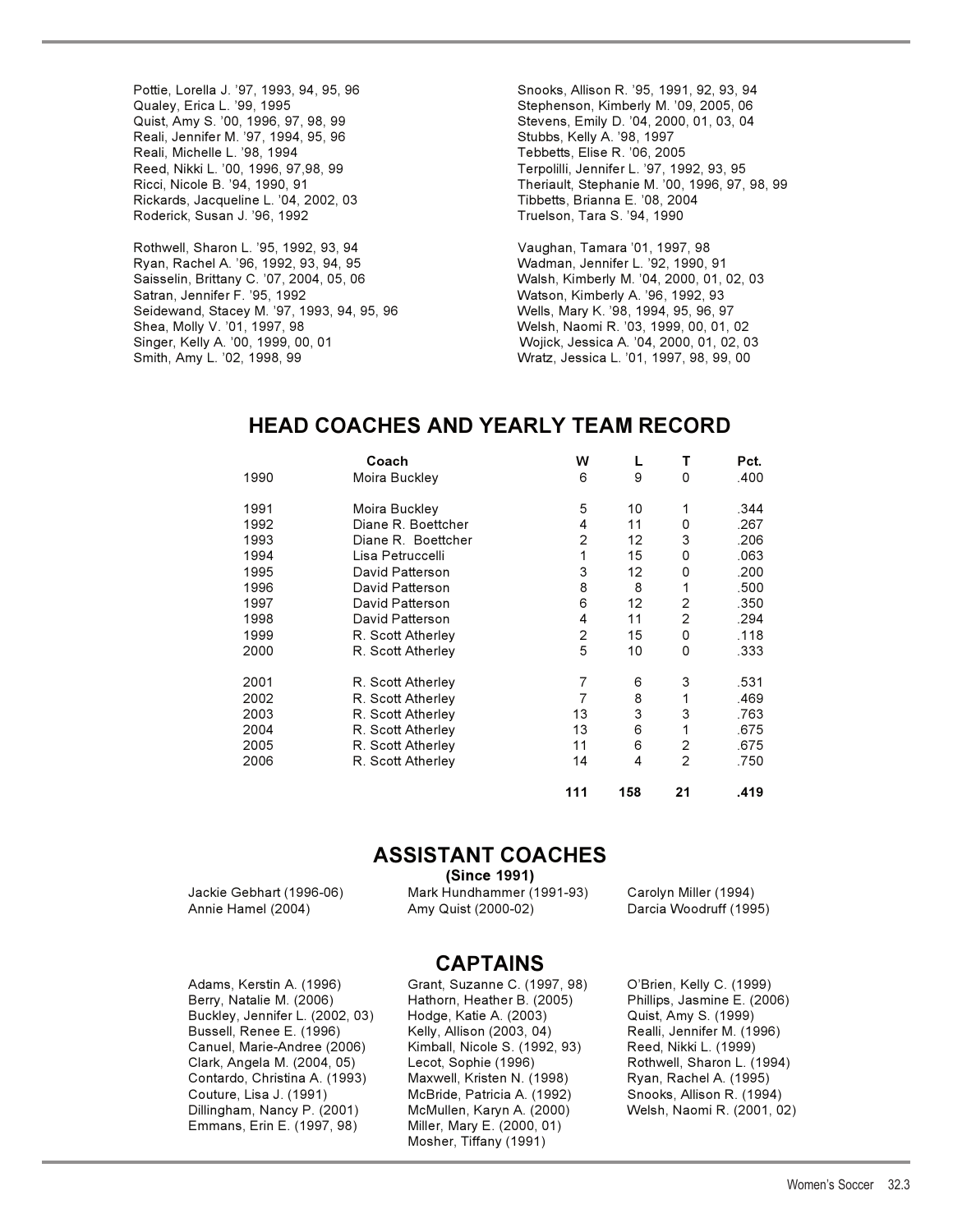Pottie, Lorella J. '97, 1993, 94, 95, 96 Snooks, Allison R. '95, 1991, 92, 93, 94 Reali, Jennifer M. '97, 1994, 95, 96 Stubbs, Kelly A. '98, 1997 Reed, Nikki L. '00, 1996, 97,98, 99 Terpolilli, Jennifer L. '97, 1992, 93, 95 Rickards, Jacqueline L. '04, 2002, 03 Tibbetts, Brianna E. '08, 2004 Roderick, Susan J. '96, 1992

Rothwell, Sharon L. '95, 1992, 93, 94 Vaughan, Tamara '01, 1997, 98 Ryan, Rachel A. '96, 1992, 93, 94, 95 Wadman, Jennifer L. '92, 1990, 91 Saisselin, Brittany C. '07, 2004, 05, 06 Walsh, Kimberly M. '04, 2000, 01, 02, 03 Satran, Jennifer F. '95, 1992 Watson, Kimberly A. '96, 1992, 93 Seidewand, Stacey M. '97, 1993, 94, 95, 96 Wells, Mary K. '98, 1994, 95, 96, 97 Shea, Molly V. '01, 1997, 98 Welsh, Naomi R. '03, 1999, 00, 01, 02 Singer, Kelly A. '00, 1999, 00, 01 Wojick, Jessica A. '04, 2000, 01, 02, 03 Smith, Amy L. '02, 1998, 99 Wratz, Jessica L. '01, 1997, 98, 99, 00

Qualey, Erica L. '99, 1995 Stephenson, Kimberly M. '09, 2005, 06 Quist, Amy S. '00, 1996, 97, 98, 99 Stevens, Emily D. '04, 2000, 01, 03, 04 Tebbetts, Elise R. '06, 2005 Ricci, Nicole B. '94, 1990, 91 Theriault, Stephanie M. '00, 1996, 97, 98, 99

## **HEAD COACHES AND YEARLY TEAM RECORD**

|      | Coach              | w              |     | Т              | Pct. |
|------|--------------------|----------------|-----|----------------|------|
| 1990 | Moira Buckley      | 6              | 9   | 0              | .400 |
| 1991 | Moira Buckley      | 5              | 10  | 1              | .344 |
| 1992 | Diane R. Boettcher | 4              | 11  | 0              | .267 |
| 1993 | Diane R. Boettcher | $\overline{2}$ | 12  | 3              | .206 |
| 1994 | Lisa Petruccelli   | 1              | 15  | 0              | .063 |
| 1995 | David Patterson    | 3              | 12  | 0              | .200 |
| 1996 | David Patterson    | 8              | 8   | 1              | .500 |
| 1997 | David Patterson    | 6              | 12  | 2              | .350 |
| 1998 | David Patterson    | 4              | 11  | 2              | .294 |
| 1999 | R. Scott Atherley  | 2              | 15  | 0              | .118 |
| 2000 | R. Scott Atherley  | 5              | 10  | 0              | .333 |
| 2001 | R. Scott Atherley  | 7              | 6   | 3              | .531 |
| 2002 | R. Scott Atherley  | 7              | 8   | 1              | .469 |
| 2003 | R. Scott Atherley  | 13             | 3   | 3              | .763 |
| 2004 | R. Scott Atherley  | 13             | 6   | 1              | .675 |
| 2005 | R. Scott Atherley  | 11             | 6   | $\overline{2}$ | .675 |
| 2006 | R. Scott Atherley  | 14             | 4   | 2              | .750 |
|      |                    | 111            | 158 | 21             | .419 |

## **ASSISTANT COACHES**

**(Since 1991)** 

Annie Hamel (2004) Amy Quist (2000-02) Darcia Woodruff (1995)

Jackie Gebhart (1996-06) Mark Hundhammer (1991-93) Carolyn Miller (1994)

**CAPTAINS** 

Berry, Natalie M. (2006) Hathorn, Heather B. (2005) Phillips, Jasmine E. (2006) Buckley, Jennifer L. (2002, 03) Hodge, Katie A. (2003) Quist, Amy S. (1999) Bussell, Renee E. (1996) Kelly, Allison (2003, 04) Realli, Jennifer M. (1996) Canuel, Marie-Andree (2006) Kimball, Nicole S. (1992, 93) Reed, Nikki L. (1999) Clark, Angela M. (2004, 05) Lecot, Sophie (1996) Rothwell, Sharon L. (1994) Contardo, Christina A. (1993) Maxwell, Kristen N. (1998) Ryan, Rachel A. (1995) Couture, Lisa J. (1991) McBride, Patricia A. (1992) Snooks, Allison R. (1994) Dillingham, Nancy P. (2001) McMullen, Karyn A. (2000) Welsh, Naomi R. (2001, 02) Emmans, Erin E. (1997, 98) Miller, Mary E. (2000, 01)

Adams, Kerstin A. (1996) Grant, Suzanne C. (1997, 98) O'Brien, Kelly C. (1999) Mosher, Tiffany (1991)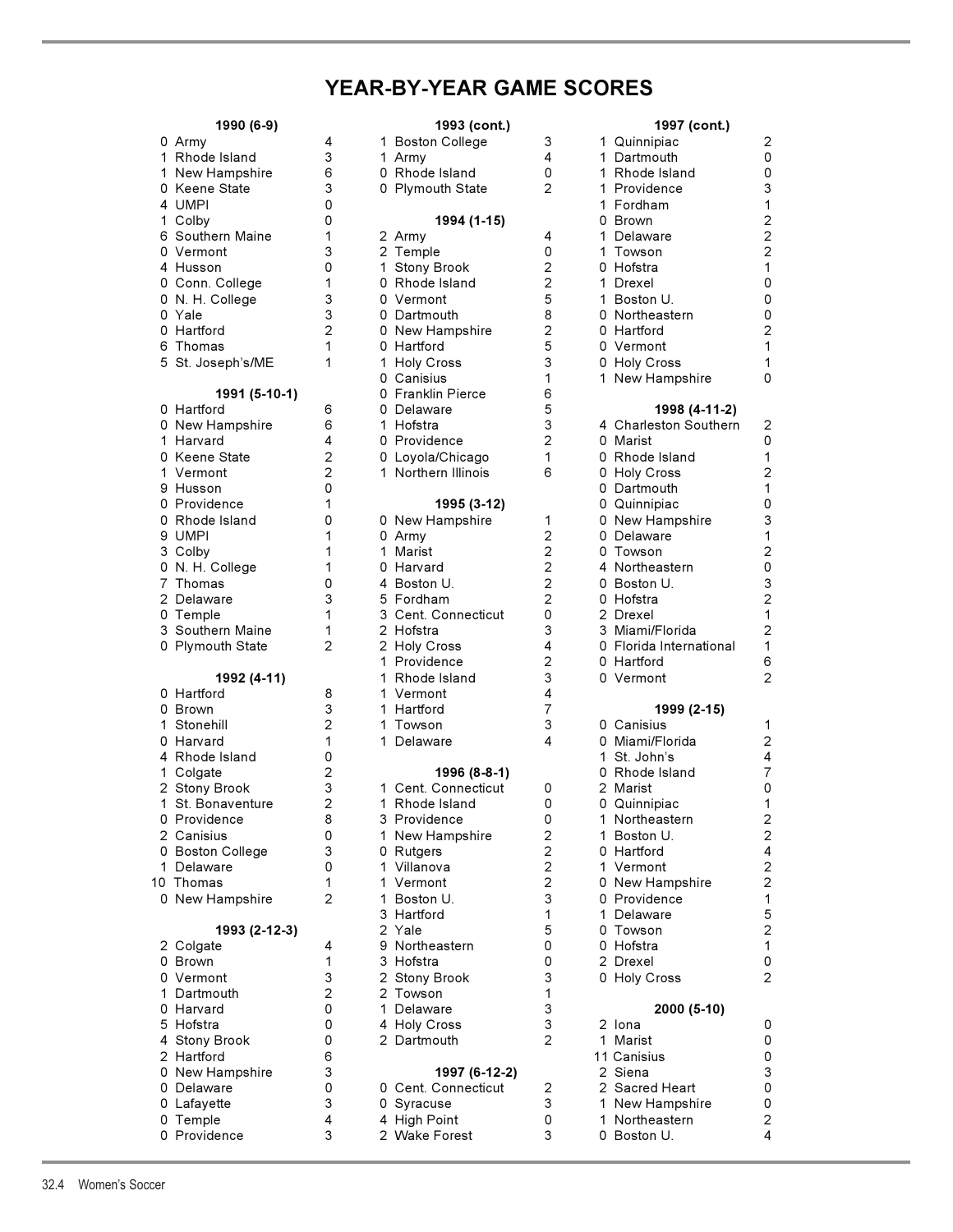# **YEAR-BY-YEAR GAME SCORES**

| 1990 (6-9)        |                | 1993 (cont.)        |                |  | 1997 (cont.)           |  |  |
|-------------------|----------------|---------------------|----------------|--|------------------------|--|--|
| 0 Army            | 4              | 1 Boston College    | 3              |  | 1 Quinnipiac           |  |  |
| 1 Rhode Island    | 3              | 1 Army              | 4              |  | 1 Dartmouth            |  |  |
| 1 New Hampshire   | 6              | 0 Rhode Island      | 0              |  | 1 Rhode Island         |  |  |
| 0 Keene State     | 3              | 0 Plymouth State    | $\overline{2}$ |  | 1 Providence           |  |  |
| 4 UMPI            | 0              |                     |                |  | 1 Fordham              |  |  |
| 1 Colby           | 0              | 1994 (1-15)         |                |  | 0 Brown                |  |  |
| 6 Southern Maine  | 1              | 2 Army              | 4              |  | 1 Delaware             |  |  |
| 0 Vermont         | 3              | 2 Temple            | 0              |  | 1 Towson               |  |  |
| 4 Husson          | 0              | 1 Stony Brook       | $\overline{2}$ |  | 0 Hofstra              |  |  |
| 0 Conn. College   | 1              | 0 Rhode Island      | 2              |  | 1 Drexel               |  |  |
| 0 N. H. College   | 3              | 0 Vermont           | 5              |  | 1 Boston U.            |  |  |
| 0 Yale            | 3              | 0 Dartmouth         | 8              |  | 0 Northeastern         |  |  |
| 0 Hartford        | $\overline{2}$ | 0 New Hampshire     | $\overline{2}$ |  | 0 Hartford             |  |  |
| 6 Thomas          | 1              | 0 Hartford          | 5              |  | 0 Vermont              |  |  |
| 5 St. Joseph's/ME | 1              | 1 Holy Cross        | 3              |  | 0 Holy Cross           |  |  |
|                   |                | 0 Canisius          | 1              |  | 1 New Hampshire        |  |  |
| 1991 (5-10-1)     |                | 0 Franklin Pierce   | 6              |  |                        |  |  |
| 0 Hartford        | 6              | 0 Delaware          | 5              |  | 1998 (4-11-2           |  |  |
| 0 New Hampshire   | 6              | 1 Hofstra           | 3              |  | 4 Charleston Souther   |  |  |
| 1 Harvard         | 4              | 0 Providence        | $\overline{2}$ |  | 0 Marist               |  |  |
|                   | $\overline{2}$ |                     |                |  |                        |  |  |
| 0 Keene State     |                | 0 Loyola/Chicago    | 1              |  | 0 Rhode Island         |  |  |
| 1 Vermont         | $\overline{2}$ | 1 Northern Illinois | 6              |  | 0 Holy Cross           |  |  |
| 9 Husson          | 0              |                     |                |  | 0 Dartmouth            |  |  |
| 0 Providence      | 1              | 1995 (3-12)         |                |  | 0 Quinnipiac           |  |  |
| 0 Rhode Island    | 0              | 0 New Hampshire     | 1              |  | 0 New Hampshire        |  |  |
| 9 UMPI            | 1              | 0 Army              | $\overline{2}$ |  | 0 Delaware             |  |  |
| 3 Colby           | 1              | 1 Marist            | 2              |  | 0 Towson               |  |  |
| 0 N. H. College   | 1              | 0 Harvard           | $\overline{2}$ |  | 4 Northeastern         |  |  |
| 7 Thomas          | 0              | 4 Boston U.         | $\overline{2}$ |  | 0 Boston U.            |  |  |
| 2 Delaware        | 3              | 5 Fordham           | $\overline{2}$ |  | 0 Hofstra              |  |  |
| 0 Temple          | 1              | 3 Cent. Connecticut | 0              |  | 2 Drexel               |  |  |
| 3 Southern Maine  | 1              | 2 Hofstra           | 3              |  | 3 Miami/Florida        |  |  |
| 0 Plymouth State  | $\overline{2}$ | 2 Holy Cross        | 4              |  | 0 Florida Internationa |  |  |
|                   |                | 1 Providence        | 2              |  | 0 Hartford             |  |  |
| 1992 (4-11)       |                | 1 Rhode Island      | 3              |  | 0 Vermont              |  |  |
| 0 Hartford        | 8              | 1 Vermont           | 4              |  |                        |  |  |
| 0 Brown           | 3              | 1 Hartford          | 7              |  | 1999 (2-15)            |  |  |
| 1 Stonehill       | $\overline{c}$ | 1 Towson            | 3              |  | 0 Canisius             |  |  |
| 0 Harvard         | 1              | 1 Delaware          | 4              |  | 0 Miami/Florida        |  |  |
| 4 Rhode Island    | 0              |                     |                |  | 1 St. John's           |  |  |
| 1 Colgate         | 2              | 1996 (8-8-1)        |                |  | 0 Rhode Island         |  |  |
| 2 Stony Brook     | 3              | 1 Cent. Connecticut | 0              |  | 2 Marist               |  |  |
| 1 St. Bonaventure | $\overline{2}$ | 1 Rhode Island      | 0              |  | 0 Quinnipiac           |  |  |
| 0 Providence      | 8              | 3 Providence        | 0              |  | 1 Northeastern         |  |  |
| 2 Canisius        | 0              | 1 New Hampshire     | $\overline{c}$ |  | 1 Boston U.            |  |  |
| 0 Boston College  | 3              | 0 Rutgers           | $\overline{2}$ |  | 0 Hartford             |  |  |
| 1 Delaware        | 0              | 1 Villanova         | $\overline{2}$ |  | 1 Vermont              |  |  |
| 10 Thomas         | 1              | 1 Vermont           | 2              |  | 0 New Hampshire        |  |  |
| 0 New Hampshire   | $\overline{2}$ | 1 Boston U.         | 3              |  | 0 Providence           |  |  |
|                   |                | 3 Hartford          | 1              |  | 1 Delaware             |  |  |
|                   |                | 2 Yale              | 5              |  |                        |  |  |
| 1993 (2-12-3)     |                |                     |                |  | 0 Towson               |  |  |
| 2 Colgate         | 4              | 9 Northeastern      | 0              |  | 0 Hofstra              |  |  |
| 0 Brown           | 1              | 3 Hofstra           | 0              |  | 2 Drexel               |  |  |
| 0 Vermont         | 3              | 2 Stony Brook       | 3              |  | 0 Holy Cross           |  |  |
| 1 Dartmouth       | $\overline{2}$ | 2 Towson            | 1              |  |                        |  |  |
| 0 Harvard         | 0              | 1 Delaware          | 3              |  | 2000 (5-10)            |  |  |
| 5 Hofstra         | 0              | 4 Holy Cross        | 3              |  | 2 Iona                 |  |  |
| 4 Stony Brook     | 0              | 2 Dartmouth         | $\overline{2}$ |  | 1 Marist               |  |  |
| 2 Hartford        | 6              |                     |                |  | 11 Canisius            |  |  |
| 0 New Hampshire   | 3              | 1997 (6-12-2)       |                |  | 2 Siena                |  |  |
| 0 Delaware        | 0              | 0 Cent. Connecticut | 2              |  | 2 Sacred Heart         |  |  |
| 0 Lafayette       | 3              | 0 Syracuse          | 3              |  | 1 New Hampshire        |  |  |
| 0 Temple          | 4              | 4 High Point        | 0              |  | 1 Northeastern         |  |  |
| 0 Providence      | 3              | 2 Wake Forest       | 3              |  | 0 Boston U.            |  |  |

| . 1ลลด (อ-ล)      |                | 1993 (CONL.)        |                | 1991 (cont.)            |
|-------------------|----------------|---------------------|----------------|-------------------------|
| 0 Army            | 4              | 1 Boston College    | 3              | 1 Quinnipiac            |
| 1 Rhode Island    | 3              | 1 Army              | 4              | 1 Dartmouth             |
| 1 New Hampshire   | 6              | 0 Rhode Island      | 0              | 1 Rhode Island          |
| 0 Keene State     | 3              | 0 Plymouth State    | 2              | 1 Providence            |
| 4 UMPI            | 0              |                     |                | 1 Fordham               |
| 1 Colby           | 0              | 1994 (1-15)         |                | 0 Brown                 |
| 6  Southern Maine | 1              | 2 Army              | 4              | 1 Delaware              |
| 0 Vermont         | 3              | 2 Temple            | 0              | 1 Towson                |
| 4 Husson          | 0              | 1 Stony Brook       | 2              | 0 Hofstra               |
| 0 Conn. College   | 1              | 0 Rhode Island      | $\overline{2}$ | 1 Drexel                |
| 0 N. H. College   | 3              | 0 Vermont           | 5              | 1 Boston U.             |
| 0 Yale            | 3              | 0 Dartmouth         | 8              | 0 Northeastern          |
|                   | $\overline{2}$ |                     | $\overline{c}$ |                         |
| 0 Hartford        |                | 0 New Hampshire     |                | 0 Hartford              |
| 6 Thomas          | 1              | 0 Hartford          | 5              | 0 Vermont               |
| 5 St. Joseph's/ME | 1              | 1 Holy Cross        | 3              | 0 Holy Cross            |
|                   |                | 0 Canisius          | 1              | 1 New Hampshire         |
| 1991 (5-10-1)     |                | 0 Franklin Pierce   | 6              |                         |
| 0 Hartford        | 6              | 0 Delaware          | 5              | 1998 (4-11-2)           |
| 0 New Hampshire   | 6              | 1 Hofstra           | 3              | 4 Charleston Southerr   |
| 1 Harvard         | 4              | 0 Providence        | $\overline{2}$ | 0 Marist                |
| 0  Keene State    | $\overline{c}$ | 0 Loyola/Chicago    | 1              | 0 Rhode Island          |
| 1 Vermont         | $\overline{2}$ | 1 Northern Illinois | 6              | 0 Holy Cross            |
| 9 Husson          | 0              |                     |                | 0 Dartmouth             |
| 0 Providence      | 1              | 1995 (3-12)         |                | 0 Quinnipiac            |
| 0 Rhode Island    | 0              | 0 New Hampshire     | 1              | 0 New Hampshire         |
| 9 UMPI            | 1              | 0 Army              | $\overline{2}$ | 0 Delaware              |
| 3 Colby           | 1              | 1 Marist            | $\overline{2}$ | 0 Towson                |
| 0 N. H. College   | 1              | 0 Harvard           | $\overline{c}$ | 4 Northeastern          |
|                   |                |                     | $\overline{2}$ |                         |
| 7 Thomas          | 0              | 4 Boston U.         |                | 0 Boston U.             |
| 2 Delaware        | 3              | 5 Fordham           | $\overline{2}$ | 0 Hofstra               |
| 0 Temple          | 1              | 3 Cent. Connecticut | 0              | 2 Drexel                |
| 3 Southern Maine  | 1              | 2 Hofstra           | 3              | 3 Miami/Florida         |
| 0 Plymouth State  | $\overline{2}$ | 2 Holy Cross        | 4              | 0 Florida International |
|                   |                | 1 Providence        | 2              | 0 Hartford              |
| 1992 (4-11)       |                | 1 Rhode Island      | 3              | 0 Vermont               |
| 0 Hartford        | 8              | 1 Vermont           | 4              |                         |
| 0 Brown           | 3              | 1 Hartford          | 7              | 1999 (2-15)             |
| 1 Stonehill       | $\overline{2}$ | 1 Towson            | 3              | 0 Canisius              |
| 0 Harvard         | $\mathbf{1}$   | 1 Delaware          | 4              | 0 Miami/Florida         |
| 4  Rhode Island   | 0              |                     |                | 1 St. John's            |
| 1 Colgate         | 2              | 1996 (8-8-1)        |                | 0 Rhode Island          |
| 2 Stony Brook     | 3              | 1 Cent. Connecticut | 0              | 2 Marist                |
| 1 St. Bonaventure | $\overline{c}$ | 1 Rhode Island      | 0              | 0 Quinnipiac            |
| 0 Providence      | 8              | 3 Providence        | 0              | 1 Northeastern          |
| 2 Canisius        | 0              | 1 New Hampshire     | 2              | 1 Boston U.             |
|                   |                |                     | $\overline{2}$ |                         |
| 0 Boston College  | 3              | 0 Rutgers           |                | 0 Hartford              |
| 1 Delaware        | 0              | 1 Villanova         | $\overline{2}$ | 1 Vermont               |
| ) Thomas          | 1              | 1 Vermont           | 2              | 0 New Hampshire         |
| 0 New Hampshire   | $\overline{2}$ | 1 Boston U.         | 3              | 0 Providence            |
|                   |                | 3 Hartford          | 1              | 1 Delaware              |
| 1993 (2-12-3)     |                | 2 Yale              | 5              | 0 Towson                |
| 2 Colgate         | 4              | 9 Northeastern      | 0              | 0 Hofstra               |
| 0 Brown           | 1              | 3 Hofstra           | 0              | 2 Drexel                |
| 0 Vermont         | 3              | 2 Stony Brook       | 3              | 0 Holy Cross            |
| 1 Dartmouth       | $\overline{2}$ | 2 Towson            | 1              |                         |
| 0 Harvard         | 0              | 1 Delaware          | 3              | 2000 (5-10)             |
| 5 Hofstra         | 0              | 4 Holy Cross        | 3              | 2 Iona                  |
| 4 Stony Brook     | 0              | 2 Dartmouth         | 2              | 1 Marist                |
| 2 Hartford        | 6              |                     |                | 11 Canisius             |
| 0 New Hampshire   | 3              | 1997 (6-12-2)       |                | 2 Siena                 |
| 0 Delaware        | 0              | 0 Cent. Connecticut | 2              | 2 Sacred Heart          |
| 0 Lafayette       | 3              |                     | 3              | 1 New Hampshire         |
|                   |                | 0 Syracuse          |                |                         |
| 0 Temple          | 4              | 4 High Point        | 0              | 1 Northeastern          |
| 0 Providence      | 3              | 2 Wake Forest       | 3              | 0 Boston U.             |

| 1990 (6-9)               |                |    | 1993 (cont.)                  |                | 1997 (cont.)                  |                         |
|--------------------------|----------------|----|-------------------------------|----------------|-------------------------------|-------------------------|
| 0 Army                   | 4              |    | 1 Boston College              | 3              | 1 Quinnipiac                  | $\mathbf{2}$            |
| 1 Rhode Island           | 3              |    | 1 Army                        | 4              | 1 Dartmouth                   | 0                       |
| 1 New Hampshire          | 6              |    | 0 Rhode Island                | 0              | 1 Rhode Island                | 0                       |
| 0 Keene State            | 3              |    | 0 Plymouth State              | $\overline{2}$ | 1 Providence                  | 3                       |
| 4 UMPI                   | 0              |    |                               |                | 1 Fordham                     | 1                       |
| 1 Colby                  | 0              |    | 1994 (1-15)                   |                | 0 Brown                       | $\overline{\mathbf{c}}$ |
| 6 Southern Maine         | 1              |    | 2 Army                        | 4              | 1 Delaware                    | $\overline{c}$          |
| 0 Vermont                | 3              |    | 2 Temple                      | 0              | 1 Towson                      | $\overline{c}$          |
| 4 Husson                 | 0              |    | 1 Stony Brook                 | 2              | 0 Hofstra                     | 1                       |
| 0 Conn. College          | 1              |    | 0 Rhode Island                | $\overline{c}$ | 1 Drexel                      | $\mathsf 0$             |
| 0 N. H. College          | 3              |    | 0 Vermont                     | 5              | 1 Boston U.                   | 0                       |
| 0 Yale                   | 3              |    | 0 Dartmouth                   | 8              | 0 Northeastern                | $\mathsf{O}\xspace$     |
| 0 Hartford               | 2              |    | 0 New Hampshire               | 2              | 0 Hartford                    | $\overline{c}$          |
| 6 Thomas                 | 1              |    | 0 Hartford                    | 5              | 0 Vermont                     | 1                       |
| 5 St. Joseph's/ME        | 1              |    | 1 Holy Cross                  | 3              | 0 Holy Cross                  | 1                       |
|                          |                |    | 0 Canisius                    | 1              | 1 New Hampshire               | 0                       |
| 1991 (5-10-1)            |                |    | 0 Franklin Pierce             | 6              |                               |                         |
| 0 Hartford               | 6              |    | 0 Delaware                    | 5              | 1998 (4-11-2)                 |                         |
|                          | 6              |    | 1 Hofstra                     | 3              | 4 Charleston Southern         | 2                       |
| 0 New Hampshire          | 4              |    |                               | $\overline{2}$ |                               | 0                       |
| 1 Harvard                |                |    | 0 Providence                  |                | 0 Marist                      |                         |
| 0 Keene State            | 2              |    | 0 Loyola/Chicago              | 1              | 0 Rhode Island                | 1                       |
| 1 Vermont                | $\overline{2}$ |    | 1 Northern Illinois           | 6              | 0 Holy Cross                  | $\overline{c}$          |
| 9 Husson                 | 0              |    |                               |                | 0 Dartmouth                   | 1                       |
| 0 Providence             | 1              |    | 1995 (3-12)                   |                | 0 Quinnipiac                  | 0                       |
| 0 Rhode Island           | 0              |    | 0 New Hampshire               | 1              | 0 New Hampshire               | 3                       |
| 9 UMPI                   | 1              |    | 0 Army                        | $\overline{2}$ | 0 Delaware                    | 1                       |
| 3 Colby                  | 1              | 1. | Marist                        | 2              | 0 Towson                      | $\overline{c}$          |
| 0 N. H. College          | 1              |    | 0 Harvard                     | $\overline{2}$ | 4 Northeastern                | 0                       |
| 7 Thomas                 | 0              |    | 4 Boston U.                   | 2              | 0 Boston U.                   | 3                       |
| 2 Delaware               | 3              |    | 5 Fordham                     | $\overline{2}$ | 0 Hofstra                     | $\overline{c}$          |
| 0 Temple                 | 1              |    | 3 Cent. Connecticut           | 0              | 2 Drexel                      | 1                       |
| 3 Southern Maine         | 1              |    | 2 Hofstra                     | 3              | 3 Miami/Florida               | $\overline{c}$          |
| 0 Plymouth State         | $\overline{2}$ |    | 2 Holy Cross                  | 4              | 0 Florida International       | $\mathbf{1}$            |
|                          |                |    | 1 Providence                  | $\overline{2}$ | 0 Hartford                    | 6                       |
| 1992 (4-11)              |                |    | 1 Rhode Island                | 3              | 0 Vermont                     | $\overline{c}$          |
| 0 Hartford               | 8              |    | 1 Vermont                     | 4              |                               |                         |
| 0 Brown                  | 3              |    | 1 Hartford                    | 7              | 1999 (2-15)                   |                         |
| 1 Stonehill              | $\overline{2}$ |    | 1 Towson                      | 3              | 0 Canisius                    | 1                       |
| 0 Harvard                | 1              |    | 1 Delaware                    | 4              | 0 Miami/Florida               | $\overline{c}$          |
| 4 Rhode Island           | 0              |    |                               |                | 1 St. John's                  | 4                       |
| 1 Colgate                | 2              |    | 1996 (8-8-1)                  |                | 0 Rhode Island                | $\overline{7}$          |
| 2 Stony Brook            | 3              |    | 1 Cent. Connecticut           | 0              | 2 Marist                      | 0                       |
| 1 St. Bonaventure        | $\overline{2}$ |    | 1 Rhode Island                | 0              | 0 Quinnipiac                  | 1                       |
| 0 Providence             | 8              |    | 3 Providence                  | 0              | 1 Northeastern                | $\overline{c}$          |
| 2 Canisius               | 0              |    | 1 New Hampshire               | $\overline{c}$ | 1 Boston U.                   | $\overline{c}$          |
| 0 Boston College         | 3              |    | 0 Rutgers                     | $\overline{2}$ | 0 Hartford                    | $\overline{\mathbf{4}}$ |
| 1 Delaware               | 0              |    | 1 Villanova                   | $\overline{2}$ | 1 Vermont                     | $\mathbf 2$             |
| 10 Thomas                | 1              |    | 1 Vermont                     | $\overline{2}$ | 0 New Hampshire               | $\overline{\mathbf{c}}$ |
| 0 New Hampshire          | 2              | 1. | Boston U.                     | 3              | 0 Providence                  | $\mathbf 1$             |
|                          |                |    | 3 Hartford                    | 1              | 1 Delaware                    | 5                       |
| 1993 (2-12-3)            |                |    | 2 Yale                        | 5              | 0 Towson                      | $\mathbf 2$             |
| 2 Colgate                | 4              |    | 9 Northeastern                | 0              | 0 Hofstra                     | $\mathbf 1$             |
| 0 Brown                  | 1              |    | 3 Hofstra                     | 0              | 2 Drexel                      | 0                       |
| 0 Vermont                | 3              |    | 2 Stony Brook                 | 3              | 0 Holy Cross                  | $\overline{2}$          |
| 1 Dartmouth              | $\overline{c}$ |    | 2 Towson                      | 1              |                               |                         |
| 0 Harvard                | 0              |    | 1 Delaware                    | 3              | 2000 (5-10)                   |                         |
| 5 Hofstra                | 0              |    | 4 Holy Cross                  | 3              | 2 Iona                        | 0                       |
| 4 Stony Brook            | 0              |    | 2 Dartmouth                   | $\overline{2}$ | 1 Marist                      | 0                       |
| 2 Hartford               | 6              |    |                               |                | 11 Canisius                   | 0                       |
| 0 New Hampshire          | 3              |    |                               |                | 2 Siena                       | 3                       |
|                          | 0              |    | 1997 (6-12-2)                 | 2              | 2 Sacred Heart                | 0                       |
| 0 Delaware               |                |    | 0 Cent. Connecticut           |                |                               |                         |
| 0 Lafayette              | 3              |    | 0 Syracuse                    | 3              | 1 New Hampshire               | 0                       |
| 0 Temple<br>0 Providence | 4<br>3         |    | 4 High Point<br>2 Wake Forest | 0<br>3         | 1 Northeastern<br>0. Boston U | $\overline{c}$<br>4     |
|                          |                |    |                               |                |                               |                         |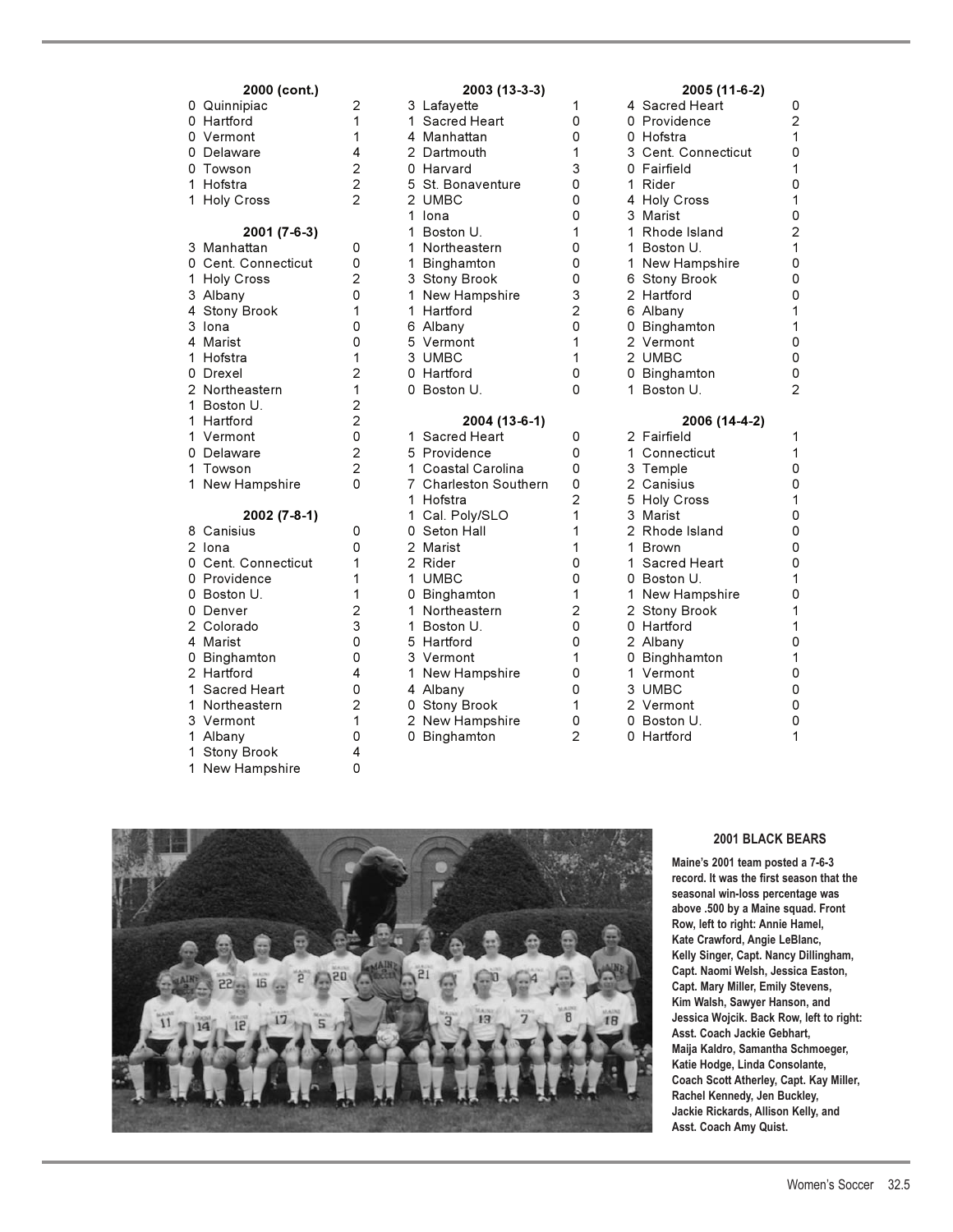| 2000 (cont.)                                                                                                                                                                                      |                                                                         |
|---------------------------------------------------------------------------------------------------------------------------------------------------------------------------------------------------|-------------------------------------------------------------------------|
| Quinnipiac<br>0<br>0<br>Hartford<br>0<br>Vermont                                                                                                                                                  | $\overline{c}$<br>1<br>$\overline{1}$                                   |
| 0 Delaware                                                                                                                                                                                        |                                                                         |
| 0<br>Towson                                                                                                                                                                                       | $\begin{array}{c} 4 \\ 2 \\ 2 \\ 2 \end{array}$                         |
| 1<br>Hofstra                                                                                                                                                                                      |                                                                         |
| 1<br><b>Holy Cross</b>                                                                                                                                                                            |                                                                         |
| 2001 (7-6-3)<br>3<br>Manhattan<br>0<br>Cent. Connecticut<br>$\mathbf 1$<br><b>Holy Cross</b><br>3<br>Albany<br>4<br><b>Stony Brook</b><br>3<br>lona<br>4<br>Marist<br>1<br>Hofstra<br>0<br>Drexel | 0<br>0<br>$\begin{array}{c} 2 \\ 0 \\ 1 \end{array}$<br>0<br>0121220220 |
| $\overline{c}$<br>Northeastern<br>1<br>Boston U.                                                                                                                                                  |                                                                         |
| 1<br>Hartford                                                                                                                                                                                     |                                                                         |
| $\overline{1}$<br>Vermont                                                                                                                                                                         |                                                                         |
| 0<br>Delaware                                                                                                                                                                                     |                                                                         |
| 1<br>Towson                                                                                                                                                                                       |                                                                         |
| 1<br>New Hampshire                                                                                                                                                                                |                                                                         |
| 2002 (7-8-1)                                                                                                                                                                                      |                                                                         |
| 8<br>Canisius                                                                                                                                                                                     | 0                                                                       |
| $\overline{c}$<br>lona                                                                                                                                                                            | 0                                                                       |
| 0<br>Cent. Connecticut                                                                                                                                                                            | 1                                                                       |
| 0<br>Providence                                                                                                                                                                                   | $\mathbf{1}$                                                            |
| 0<br>Boston U.                                                                                                                                                                                    | $\frac{1}{2}$                                                           |
| 0<br>Denver<br>$\overline{c}$<br>Colorado                                                                                                                                                         |                                                                         |
| 4<br>Marist                                                                                                                                                                                       | 3<br>0                                                                  |
| 0<br>Binghamton                                                                                                                                                                                   | 0                                                                       |
| $\overline{2}$<br>Hartford                                                                                                                                                                        | 4                                                                       |
| $\mathbf{1}$<br><b>Sacred Heart</b>                                                                                                                                                               | $\overline{0}$                                                          |
| 1<br>Northeastern                                                                                                                                                                                 | $\overline{c}$                                                          |
| 3<br>Vermont                                                                                                                                                                                      | $\mathbf 1$                                                             |
| 1<br>Albany                                                                                                                                                                                       | 0                                                                       |
| 1<br><b>Stony Brook</b>                                                                                                                                                                           | 4                                                                       |
| 1<br>New Hampshire                                                                                                                                                                                | 0                                                                       |

| 2000 (cont.)        |                |    | 2003 (13-3-3)         |                | 2005 (11-6-2)       |                         |
|---------------------|----------------|----|-----------------------|----------------|---------------------|-------------------------|
| 0 Quinnipiac        | $\overline{c}$ |    | 3 Lafayette           | 1              | 4 Sacred Heart      | 0                       |
| 0 Hartford          | 1              |    | 1 Sacred Heart        | 0              | 0 Providence        | $\overline{c}$          |
| 0 Vermont           | 1              |    | 4 Manhattan           | 0              | 0 Hofstra           | 1                       |
| 0 Delaware          | 4              |    | 2 Dartmouth           | 1              | 3 Cent. Connecticut | $\mathsf 0$             |
| 0 Towson            | $\overline{c}$ |    | 0 Harvard             | 3              | 0 Fairfield         | 1                       |
| 1 Hofstra           | $\overline{2}$ |    | 5 St. Bonaventure     | 0              | 1 Rider             | 0                       |
| 1 Holy Cross        | $\overline{2}$ |    | 2 UMBC                | 0              | 4 Holy Cross        | 1                       |
|                     |                |    | 1 Iona                | 0              | 3 Marist            | $\mathsf{O}\xspace$     |
| 2001 (7-6-3)        |                |    | 1 Boston U.           | 1              | 1 Rhode Island      | $\overline{\mathbf{c}}$ |
| 3 Manhattan         | 0              |    | 1 Northeastern        | 0              | 1 Boston U.         | $\mathbf 1$             |
| 0 Cent. Connecticut | 0              |    | 1 Binghamton          | 0              | 1 New Hampshire     | 0                       |
| 1 Holy Cross        | $\overline{2}$ |    | 3 Stony Brook         | 0              | 6 Stony Brook       | 0                       |
| 3 Albany            | 0              |    | 1 New Hampshire       | 3              | 2 Hartford          | 0                       |
| 4 Stony Brook       | 1              |    | 1 Hartford            | $\overline{2}$ | 6 Albany            | 1                       |
| 3 Iona              | 0              |    | 6 Albany              | $\Omega$       | 0 Binghamton        | 1                       |
| 4 Marist            | 0              |    | 5 Vermont             | 1              | 2 Vermont           | 0                       |
| 1 Hofstra           | 1              |    | 3 UMBC                | 1              | 2 UMBC              | 0                       |
| 0 Drexel            | 2              |    | 0 Hartford            | 0              | 0 Binghamton        | 0                       |
| 2 Northeastern      | 1              |    | 0 Boston U.           | 0              | 1 Boston U.         | $\overline{2}$          |
| 1 Boston U.         | $\overline{c}$ |    |                       |                |                     |                         |
| 1 Hartford          | 2              |    | 2004 (13-6-1)         |                | 2006 (14-4-2)       |                         |
| 1 Vermont           | 0              |    | 1 Sacred Heart        | 0              | 2 Fairfield         | 1                       |
| 0 Delaware          | $\overline{c}$ |    | 5 Providence          | 0              | 1 Connecticut       | 1                       |
| 1 Towson            | $\overline{2}$ |    | 1 Coastal Carolina    | $\mathbf 0$    | 3 Temple            | 0                       |
| 1 New Hampshire     | 0              |    | 7 Charleston Southern | 0              | 2 Canisius          | 0                       |
|                     |                |    | 1 Hofstra             | $\overline{2}$ | 5 Holy Cross        | 1                       |
| 2002 (7-8-1)        |                |    | 1 Cal. Poly/SLO       | 1              | 3 Marist            | $\mathsf{O}\xspace$     |
| 8 Canisius          | 0              |    | 0 Seton Hall          | 1              | 2 Rhode Island      | 0                       |
| 2 Iona              | 0              |    | 2 Marist              | 1              | 1 Brown             | 0                       |
| 0 Cent. Connecticut | 1              |    | 2 Rider               | 0              | 1 Sacred Heart      | 0                       |
| 0 Providence        | 1              |    | 1 UMBC                | 0              | 0 Boston U.         | 1                       |
| 0 Boston U.         | 1              |    | 0 Binghamton          | 1              | 1 New Hampshire     | $\mathsf 0$             |
| 0 Denver            | 2              |    | 1 Northeastern        | 2              | 2 Stony Brook       | 1                       |
| 2 Colorado          | 3              |    | 1 Boston U.           | 0              | 0 Hartford          | 1                       |
| 4 Marist            | 0              |    | 5 Hartford            | $\mathbf 0$    | 2 Albany            | $\mathsf{O}\xspace$     |
| 0 Binghamton        | 0              |    | 3 Vermont             | 1              | 0 Binghhamton       | 1                       |
| 2 Hartford          | 4              | 1. | New Hampshire         | 0              | 1 Vermont           | 0                       |
| 1 Sacred Heart      | 0              |    | 4 Albany              | 0              | 3 UMBC              | 0                       |
| 1 Northeastern      | $\overline{c}$ |    | 0 Stony Brook         | 1              | 2 Vermont           | $\mathsf{O}\xspace$     |
| 3 Vermont           | 1              |    | 2 New Hampshire       | 0              | 0 Boston U.         | 0                       |
| 1 Albany            | 0              |    | 0 Binghamton          | $\mathfrak{D}$ | 0 Hartford          | 1                       |
| 1 Stony Brook       | 4              |    |                       |                |                     |                         |

### **2000 (cont.) 2003 (13-3-3) 2005 (11-6-2)**

| 4            | Sacred Heart        |                |
|--------------|---------------------|----------------|
|              | 0 Providence        | $\overline{2}$ |
|              | 0 Hofstra           | 1              |
|              | 3 Cent. Connecticut | 0              |
|              | 0 Fairfield         | 1              |
|              | 1 Rider             | 0              |
|              | 4 Holy Cross        | 1              |
|              | 3 Marist            | 0              |
|              | 1 Rhode Island      | $\overline{c}$ |
| 1.           | Boston U.           | 1              |
| $\mathbf{1}$ | New Hampshire       | 0              |
|              | 6 Stony Brook       | 0              |
|              | 2 Hartford          | 0              |
|              | 6 Albany            | 1              |
| 0            | Binghamton          | 1              |
|              | 2 Vermont           | 0              |
|              | 2 UMBC              | 0              |
|              | 0 Binghamton        | 0              |
| 1            | Boston U.           | $\overline{2}$ |

|                | 2 Fairfield        | 1 |
|----------------|--------------------|---|
| 1.             | Connecticut        | 1 |
|                | 3 Temple           | 0 |
|                | 2 Canisius         | 0 |
| 5              | <b>Holy Cross</b>  | 1 |
|                | 3 Marist           | 0 |
|                | 2 Rhode Island     | 0 |
|                | 1 Brown            | 0 |
|                | 1 Sacred Heart     | 0 |
|                | 0 Boston U.        | 1 |
| $\mathbf{1}$   | New Hampshire      | 0 |
| $\overline{a}$ | <b>Stony Brook</b> | 1 |
| 0              | Hartford           | 1 |
|                | 2 Albany           | 0 |
| 0              | Binghhamton        | 1 |
|                | 1 Vermont          | 0 |
|                | 3 UMBC             | 0 |
|                | 2 Vermont          | 0 |
| 0              | Boston U.          | 0 |
| Ω              | Hartford           | 1 |



#### **2001 BLACK BEARS**

**Maine's 2001 team posted a 7-6-3 record. It was the first season that the seasonal win-loss percentage was above .500 by a Maine squad. Front Row, left to right: Annie Hamel, Kate Crawford, Angie LeBlanc, Kelly Singer, Capt. Nancy Dillingham, Capt. Naomi Welsh, Jessica Easton, Capt. Mary Miller, Emily Stevens, Kim Walsh, Sawyer Hanson, and Jessica Wojcik. Back Row, left to right: Asst. Coach Jackie Gebhart, Maija Kaldro, Samantha Schmoeger, Katie Hodge, Linda Consolante, Coach Scott Atherley, Capt. Kay Miller, Rachel Kennedy, Jen Buckley, Jackie Rickards, Allison Kelly, and Asst. Coach Amy Quist.**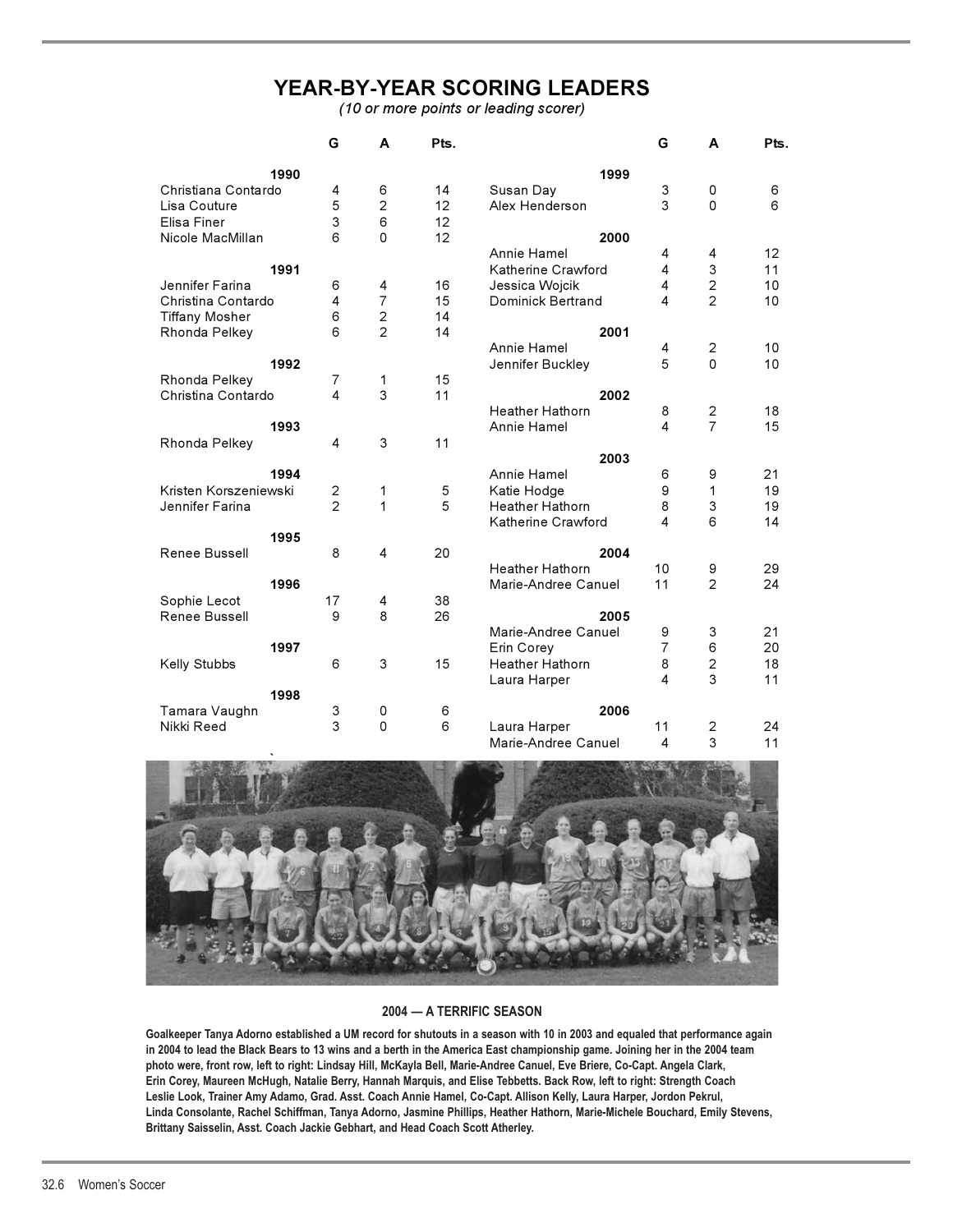# **YEAR-BY-YEAR SCORING LEADERS**

*(10 or more points or leading scorer)*

|                       | G              | A                                        | Pts.                                    |                        | G                                                                                                                                            | A              | Pts.                                                                                         |
|-----------------------|----------------|------------------------------------------|-----------------------------------------|------------------------|----------------------------------------------------------------------------------------------------------------------------------------------|----------------|----------------------------------------------------------------------------------------------|
| 1990                  |                |                                          |                                         | 1999                   |                                                                                                                                              |                |                                                                                              |
| Christiana Contardo   | 4              | 6                                        | 14                                      |                        | 3                                                                                                                                            | 0              | 6                                                                                            |
|                       |                |                                          | 12                                      | Alex Henderson         | 3                                                                                                                                            | 0              | 6                                                                                            |
|                       |                | 6                                        | 12                                      |                        |                                                                                                                                              |                |                                                                                              |
|                       | 6              | 0                                        | 12                                      | 2000                   |                                                                                                                                              |                |                                                                                              |
|                       |                |                                          |                                         | Annie Hamel            | 4                                                                                                                                            | 4              | 12                                                                                           |
| 1991                  |                |                                          |                                         | Katherine Crawford     | 4                                                                                                                                            | 3              | 11                                                                                           |
|                       | 6              | 4                                        | 16                                      |                        | 4                                                                                                                                            |                | 10                                                                                           |
| Christina Contardo    | 4              | $\overline{7}$                           | 15                                      | Dominick Bertrand      | 4                                                                                                                                            | $\overline{2}$ | 10                                                                                           |
|                       |                |                                          | 14                                      |                        |                                                                                                                                              |                |                                                                                              |
|                       | 6              | $\overline{2}$                           | 14                                      | 2001                   |                                                                                                                                              |                |                                                                                              |
|                       |                |                                          |                                         |                        |                                                                                                                                              |                |                                                                                              |
| 1992                  |                |                                          |                                         |                        |                                                                                                                                              | $\Omega$       |                                                                                              |
|                       |                |                                          |                                         |                        |                                                                                                                                              |                |                                                                                              |
| Christina Contardo    | 4              | 3                                        | 11                                      |                        |                                                                                                                                              |                |                                                                                              |
|                       |                |                                          |                                         | <b>Heather Hathorn</b> | 8                                                                                                                                            |                | 10<br>10<br>18<br>15<br>21<br>19<br>19<br>14<br>29<br>24<br>21<br>20<br>18<br>11<br>24<br>11 |
| 1993                  |                |                                          |                                         | Annie Hamel            | 4                                                                                                                                            | $\overline{7}$ |                                                                                              |
|                       | 4              | 3                                        | 11                                      |                        |                                                                                                                                              |                |                                                                                              |
|                       |                |                                          |                                         | 2003                   |                                                                                                                                              |                |                                                                                              |
| 1994                  |                |                                          |                                         | Annie Hamel            | 6                                                                                                                                            | 9              |                                                                                              |
| Kristen Korszeniewski |                | 1                                        |                                         |                        | 9                                                                                                                                            | 1              |                                                                                              |
|                       | $\overline{2}$ | 1                                        | 5                                       | <b>Heather Hathorn</b> | 8                                                                                                                                            | 3              |                                                                                              |
|                       |                |                                          |                                         | Katherine Crawford     | 4                                                                                                                                            | 6              |                                                                                              |
| 1995                  |                |                                          |                                         |                        |                                                                                                                                              |                |                                                                                              |
|                       | 8              | $\overline{\mathbf{4}}$                  | 20                                      | 2004                   |                                                                                                                                              |                |                                                                                              |
|                       |                |                                          |                                         | <b>Heather Hathorn</b> | 10                                                                                                                                           |                |                                                                                              |
| 1996                  |                |                                          |                                         | Marie-Andree Canuel    | 11                                                                                                                                           | $\mathfrak{D}$ |                                                                                              |
|                       |                | 4                                        | 38                                      |                        |                                                                                                                                              |                |                                                                                              |
|                       | 9              | 8                                        | 26                                      | 2005                   |                                                                                                                                              |                |                                                                                              |
|                       |                |                                          |                                         |                        | 9                                                                                                                                            | 3              |                                                                                              |
| 1997                  |                |                                          |                                         | Erin Corev             | $\overline{7}$                                                                                                                               | 6              |                                                                                              |
|                       | 6              |                                          | 15                                      | Heather Hathorn        | 8                                                                                                                                            |                |                                                                                              |
|                       |                |                                          |                                         |                        | 4                                                                                                                                            | 3              |                                                                                              |
| 1998                  |                |                                          |                                         |                        |                                                                                                                                              |                |                                                                                              |
|                       | 3              | 0                                        | 6                                       | 2006                   |                                                                                                                                              |                |                                                                                              |
|                       | 3              | 0                                        | 6                                       |                        | 11                                                                                                                                           | $\overline{c}$ |                                                                                              |
|                       |                |                                          |                                         | Marie-Andree Canuel    | 4                                                                                                                                            | 3              |                                                                                              |
|                       |                | 5<br>3<br>6<br>$\overline{7}$<br>2<br>17 | $\overline{c}$<br>$\mathbf 2$<br>1<br>3 | 15<br>5                | Susan Day<br>Jessica Wojcik<br>Annie Hamel<br>Jennifer Buckley<br>2002<br>Katie Hodge<br>Marie-Andree Canuel<br>Laura Harper<br>Laura Harper | 4<br>5         | $\overline{c}$<br>$\overline{c}$<br>$\overline{c}$<br>9<br>$\mathbf 2$                       |



#### **2004 — A TERRIFIC SEASON**

**Goalkeeper Tanya Adorno established a UM record for shutouts in a season with 10 in 2003 and equaled that performance again in 2004 to lead the Black Bears to 13 wins and a berth in the America East championship game. Joining her in the 2004 team photo were, front row, left to right: Lindsay Hill, McKayla Bell, Marie-Andree Canuel, Eve Briere, Co-Capt. Angela Clark, Erin Corey, Maureen McHugh, Natalie Berry, Hannah Marquis, and Elise Tebbetts. Back Row, left to right: Strength Coach Leslie Look, Trainer Amy Adamo, Grad. Asst. Coach Annie Hamel, Co-Capt. Allison Kelly, Laura Harper, Jordon Pekrul, Linda Consolante, Rachel Schiffman, Tanya Adorno, Jasmine Phillips, Heather Hathorn, Marie-Michele Bouchard, Emily Stevens, Brittany Saisselin, Asst. Coach Jackie Gebhart, and Head Coach Scott Atherley.**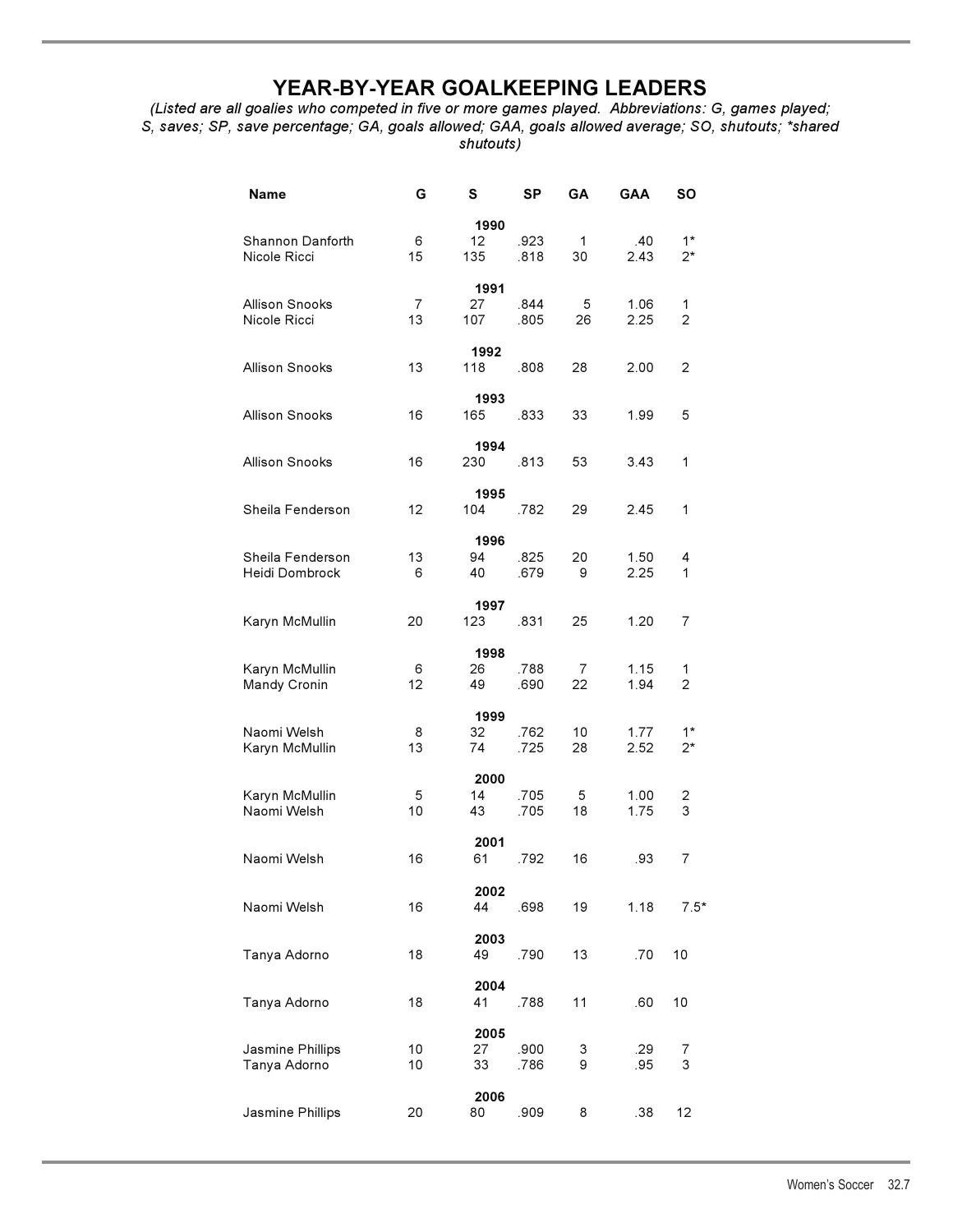# **YEAR-BY-YEAR GOALKEEPING LEADERS**

*(Listed are all goalies who competed in five or more games played. Abbreviations: G, games played; S, saves; SP, save percentage; GA, goals allowed; GAA, goals allowed average; SO, shutouts; \*shared shutouts)* 

| <b>Name</b>                        | G        | S                 | <b>SP</b>    | GΑ                 | GAA          | SΟ            |
|------------------------------------|----------|-------------------|--------------|--------------------|--------------|---------------|
| Shannon Danforth<br>Nicole Ricci   | 6<br>15  | 1990<br>12<br>135 | .923<br>.818 | $\mathbf{1}$<br>30 | .40<br>2.43  | $1*$<br>$2^*$ |
| Allison Snooks<br>Nicole Ricci     | 7<br>13  | 1991<br>27<br>107 | .844<br>.805 | 5<br>26            | 1.06<br>2.25 | 1<br>2        |
| <b>Allison Snooks</b>              | 13       | 1992<br>118       | .808         | 28                 | 2.00         | 2             |
| <b>Allison Snooks</b>              | 16       | 1993<br>165       | .833         | 33                 | 1.99         | 5             |
| <b>Allison Snooks</b>              | 16       | 1994<br>230       | .813         | 53                 | 3.43         | 1             |
| Sheila Fenderson                   | 12       | 1995<br>104       | .782         | 29                 | 2.45         | 1             |
| Sheila Fenderson<br>Heidi Dombrock | 13<br>6  | 1996<br>94<br>40  | .825<br>.679 | 20<br>9            | 1.50<br>2.25 | 4<br>1        |
| Karyn McMullin                     | 20       | 1997<br>123       | .831         | 25                 | 1.20         | 7             |
| Karyn McMullin<br>Mandy Cronin     | 6<br>12  | 1998<br>26<br>49  | .788<br>.690 | 7<br>22            | 1.15<br>1.94 | 1<br>2        |
| Naomi Welsh<br>Karyn McMullin      | 8<br>13  | 1999<br>32<br>74  | .762<br>.725 | 10<br>28           | 1.77<br>2.52 | $1*$<br>2*    |
| Karyn McMullin<br>Naomi Welsh      | 5<br>10  | 2000<br>14<br>43  | .705<br>.705 | 5<br>18            | 1.00<br>1.75 | 2<br>3        |
| Naomi Welsh                        | 16       | 2001<br>61        | .792         | 16                 | .93          | 7             |
| Naomi Welsh                        | 16       | 2002<br>44        | .698         | 19                 | 1.18         | $7.5*$        |
| Tanya Adorno                       | 18       | 2003<br>49        | .790         | 13                 | .70          | 10            |
| Tanya Adorno                       | 18       | 2004<br>41        | .788         | 11                 | .60          | 10            |
| Jasmine Phillips<br>Tanya Adorno   | 10<br>10 | 2005<br>27<br>33  | .900<br>.786 | 3<br>9             | .29<br>.95   | 7<br>3        |
| Jasmine Phillips                   | 20       | 2006<br>80        | .909         | 8                  | .38          | 12            |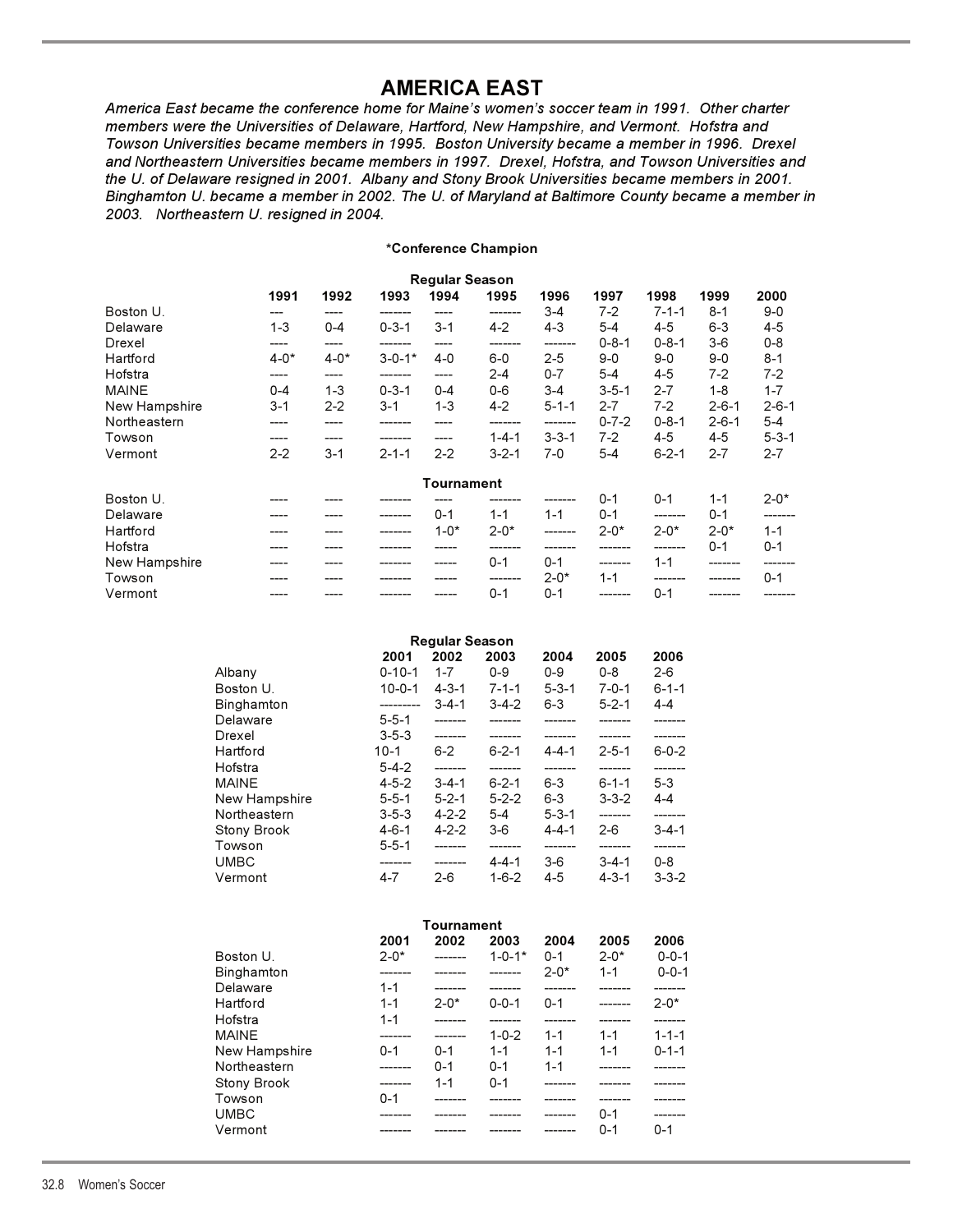# **AMERICA EAST**

**AMERICA EAST** *America East became the conference home for Maine's women's soccer team in 1991. Other charter members were the Universities of Delaware, Hartford, New Hampshire, and Vermont. Hofstra and Towson Universities became members in 1995. Boston University became a member in 1996. Drexel and Northeastern Universities became members in 1997. Drexel, Hofstra, and Towson Universities and the U. of Delaware resigned in 2001. Albany and Stony Brook Universities became members in 2001. Binghamton U. became a member in 2002. The U. of Maryland at Baltimore County became a member in 2003. Northeastern U. resigned in 2004.*

### **\*Conference Champion**

|               |          |          |              | <b>Regular Season</b> |             |             |             |             |             |             |
|---------------|----------|----------|--------------|-----------------------|-------------|-------------|-------------|-------------|-------------|-------------|
|               | 1991     | 1992     | 1993         | 1994                  | 1995        | 1996        | 1997        | 1998        | 1999        | 2000        |
| Boston U.     |          |          |              |                       |             | $3 - 4$     | $7-2$       | $7 - 1 - 1$ | $8 - 1$     | $9 - 0$     |
| Delaware      | $1 - 3$  | $0 - 4$  | $0 - 3 - 1$  | $3 - 1$               | $4 - 2$     | $4 - 3$     | $5 - 4$     | $4 - 5$     | $6 - 3$     | $4 - 5$     |
| Drexel        |          |          |              |                       |             | -------     | $0 - 8 - 1$ | $0 - 8 - 1$ | $3-6$       | $0 - 8$     |
| Hartford      | $4 - 0*$ | $4 - 0*$ | $3 - 0 - 1*$ | $4 - 0$               | $6-0$       | $2 - 5$     | $9-0$       | $9 - 0$     | $9 - 0$     | $8 - 1$     |
| Hofstra       | ----     | ----     |              |                       | $2 - 4$     | $0 - 7$     | $5 - 4$     | $4 - 5$     | $7-2$       | $7-2$       |
| <b>MAINE</b>  | $0 - 4$  | $1 - 3$  | $0 - 3 - 1$  | $0 - 4$               | $0-6$       | $3 - 4$     | $3 - 5 - 1$ | $2 - 7$     | $1 - 8$     | $1 - 7$     |
| New Hampshire | $3 - 1$  | $2 - 2$  | $3 - 1$      | $1 - 3$               | $4 - 2$     | $5 - 1 - 1$ | $2 - 7$     | $7 - 2$     | $2 - 6 - 1$ | $2 - 6 - 1$ |
| Northeastern  |          |          |              |                       |             | -------     | $0 - 7 - 2$ | $0 - 8 - 1$ | $2 - 6 - 1$ | $5 - 4$     |
| Towson        |          |          |              |                       | $1 - 4 - 1$ | $3 - 3 - 1$ | 7-2         | $4 - 5$     | 4-5         | $5 - 3 - 1$ |
| Vermont       | $2 - 2$  | $3 - 1$  | $2 - 1 - 1$  | $2 - 2$               | $3 - 2 - 1$ | $7-0$       | $5 - 4$     | $6 - 2 - 1$ | $2 - 7$     | $2 - 7$     |
|               |          |          |              | Tournament            |             |             |             |             |             |             |
| Boston U.     |          |          |              |                       |             |             | $0 - 1$     | $0 - 1$     | $1 - 1$     | $2 - 0*$    |
| Delaware      |          |          |              | $0 - 1$               | $1 - 1$     | $1 - 1$     | $0 - 1$     | -------     | $0 - 1$     |             |
| Hartford      |          |          |              | $1 - 0*$              | $2 - 0^*$   |             | $2 - 0^*$   | $2 - 0*$    | $2 - 0^*$   | $1 - 1$     |
| Hofstra       |          |          |              |                       |             |             |             |             | $0 - 1$     | $0 - 1$     |
| New Hampshire |          |          |              |                       | $0 - 1$     | $0 - 1$     |             | $1 - 1$     |             |             |
| Towson        |          |          |              |                       |             | $2 - 0^*$   | $1 - 1$     |             |             | $0 - 1$     |
| Vermont       |          |          |              |                       | $0 - 1$     | $0 - 1$     | --------    | $0 - 1$     |             |             |

|               | <b>Regular Season</b> |             |             |             |             |             |
|---------------|-----------------------|-------------|-------------|-------------|-------------|-------------|
|               | 2001                  | 2002        | 2003        | 2004        | 2005        | 2006        |
| Albany        | $0 - 10 - 1$          | $1 - 7$     | $0 - 9$     | $0 - 9$     | $0 - 8$     | $2 - 6$     |
| Boston U.     | $10 - 0 - 1$          | $4 - 3 - 1$ | $7 - 1 - 1$ | $5 - 3 - 1$ | $7 - 0 - 1$ | $6 - 1 - 1$ |
| Binghamton    |                       | $3 - 4 - 1$ | $3 - 4 - 2$ | $6 - 3$     | $5 - 2 - 1$ | $4 - 4$     |
| Delaware      | $5 - 5 - 1$           |             |             |             |             |             |
| Drexel        | $3 - 5 - 3$           |             |             |             |             |             |
| Hartford      | $10-1$                | $6 - 2$     | $6 - 2 - 1$ | $4 - 4 - 1$ | $2 - 5 - 1$ | $6 - 0 - 2$ |
| Hofstra       | $5 - 4 - 2$           |             |             |             |             |             |
| <b>MAINE</b>  | $4 - 5 - 2$           | $3 - 4 - 1$ | $6 - 2 - 1$ | $6 - 3$     | $6 - 1 - 1$ | $5 - 3$     |
| New Hampshire | $5 - 5 - 1$           | $5 - 2 - 1$ | $5 - 2 - 2$ | $6 - 3$     | $3 - 3 - 2$ | $4 - 4$     |
| Northeastern  | $3 - 5 - 3$           | $4 - 2 - 2$ | $5 - 4$     | $5 - 3 - 1$ |             |             |
| Stony Brook   | $4 - 6 - 1$           | $4 - 2 - 2$ | $3-6$       | $4 - 4 - 1$ | $2 - 6$     | $3 - 4 - 1$ |
| Towson        | $5 - 5 - 1$           |             |             |             |             |             |
| <b>UMBC</b>   |                       |             | $4 - 4 - 1$ | $3-6$       | $3 - 4 - 1$ | $0 - 8$     |
| Vermont       | $4 - 7$               | $2 - 6$     | $1 - 6 - 2$ | $4 - 5$     | $4 - 3 - 1$ | $3 - 3 - 2$ |
|               |                       |             |             |             |             |             |

|                    | Tournament |         |              |          |         |             |
|--------------------|------------|---------|--------------|----------|---------|-------------|
|                    | 2001       | 2002    | 2003         | 2004     | 2005    | 2006        |
| Boston U.          | $2 - 0^*$  |         | $1 - 0 - 1*$ | $0 - 1$  | $2-0*$  | $0 - 0 - 1$ |
| Binghamton         |            |         |              | $2 - 0*$ | $1 - 1$ | $0 - 0 - 1$ |
| Delaware           | $1 - 1$    |         |              |          |         |             |
| Hartford           | $1 - 1$    | $2-0*$  | $0 - 0 - 1$  | $0 - 1$  | ------- | $2 - 0^*$   |
| Hofstra            | $1 - 1$    |         |              |          |         |             |
| <b>MAINE</b>       |            |         | $1 - 0 - 2$  | $1 - 1$  | $1 - 1$ | $1 - 1 - 1$ |
| New Hampshire      | $0 - 1$    | $0 - 1$ | $1 - 1$      | 1-1      | $1 - 1$ | $0 - 1 - 1$ |
| Northeastern       | -------    | $0 - 1$ | $0 - 1$      | $1 - 1$  |         |             |
| <b>Stony Brook</b> | -------    | $1 - 1$ | $0 - 1$      |          |         |             |
| Towson             | $0 - 1$    |         |              |          |         |             |
| <b>UMBC</b>        |            |         |              |          | $0 - 1$ | -------     |
| Vermont            |            |         |              |          | $0 - 1$ | $0 - 1$     |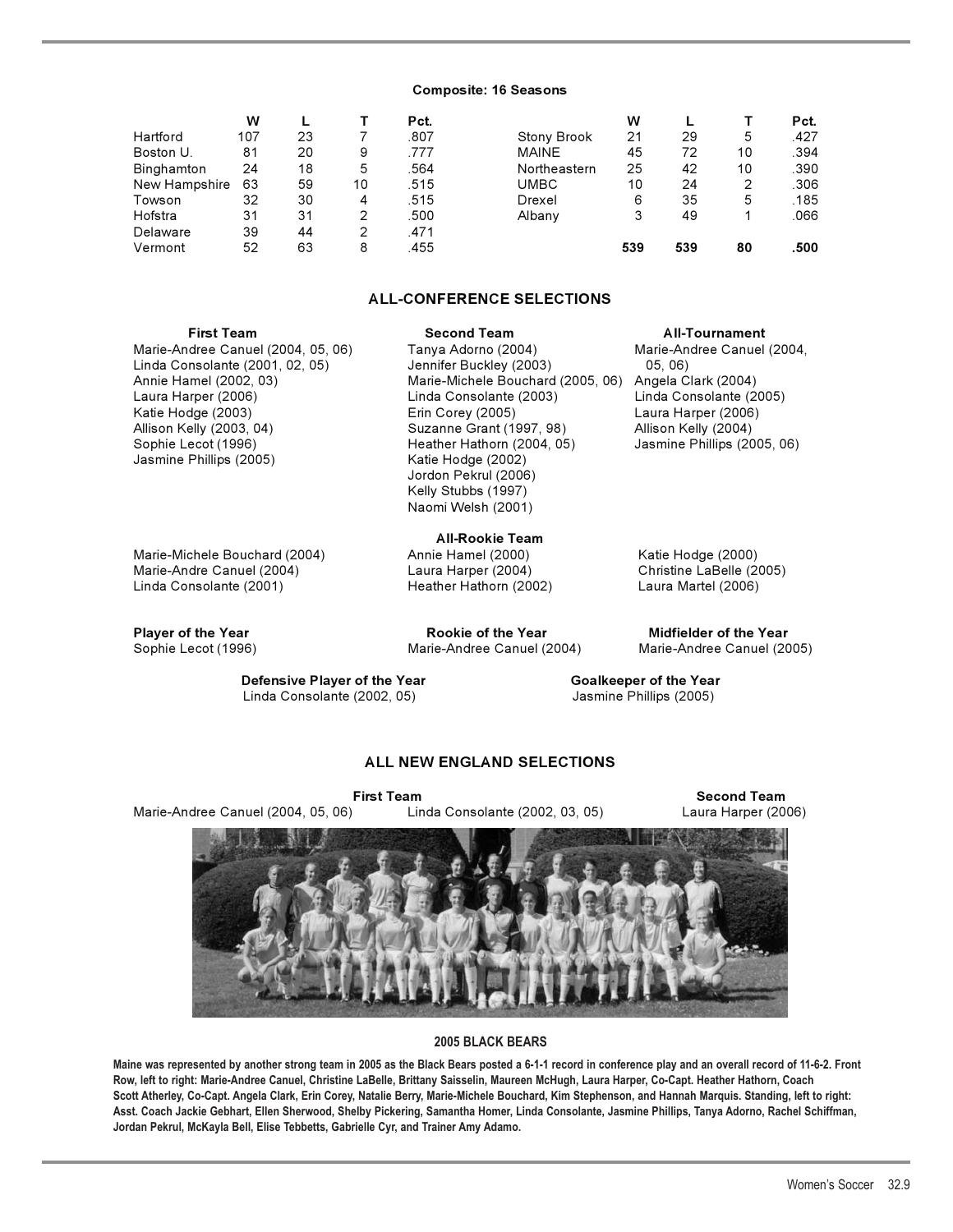#### **Composite: 16 Seasons**

|               | w   |    |    | Pct. |                    | w   |     |    | Pct. |
|---------------|-----|----|----|------|--------------------|-----|-----|----|------|
| Hartford      | 107 | 23 |    | .807 | <b>Stony Brook</b> | 21  | 29  | 5  | .427 |
| Boston U.     | 81  | 20 | 9  | .777 | <b>MAINE</b>       | 45  | 72  | 10 | .394 |
| Binghamton    | 24  | 18 | 5  | .564 | Northeastern       | 25  | 42  | 10 | .390 |
| New Hampshire | 63  | 59 | 10 | .515 | <b>UMBC</b>        | 10  | 24  | 2  | .306 |
| Towson        | 32  | 30 | 4  | .515 | Drexel             | 6   | 35  | 5  | .185 |
| Hofstra       | 31  | 31 | 2  | .500 | Albany             | 3   | 49  |    | .066 |
| Delaware      | 39  | 44 | 2  | .471 |                    |     |     |    |      |
| Vermont       | 52  | 63 | 8  | .455 |                    | 539 | 539 | 80 | .500 |

### **ALL-CONFERENCE SELECTIONS**

 Jordon Pekrul (2006) Kelly Stubbs (1997) Naomi Welsh (2001)

Marie-Andree Canuel (2004, 05, 06) Tanya Adorno (2004) Marie-Andree Canuel (2004, Linda Consolante (2001, 02, 05) Jennifer Buckley (2003) 05, 06) Annie Hamel (2002, 03) Marie-Michele Bouchard (2005, 06) Angela Clark (2004) Laura Harper (2006) Linda Consolante (2003) Linda Consolante (2005) Katie Hodge (2003) Erin Corey (2005) Laura Harper (2006) Sophie Lecot (1996) **Heather Hathorn (2004, 05)**<br>Jasmine Phillips (2005) **Heather Hotage (2002)** Jasmine Phillips (2005)

Marie-Michele Bouchard (2004) Annie Hamel (2000) Katie Hodge (2000) Marie-Andre Canuel (2004) Laura Harper (2004) Christine LaBelle (2005) Linda Consolante (2001) Heather Hathorn (2002) Laura Martel (2006)

**Player of the Year Rookie of the Year Midfielder of the Year**

**All-Rookie Team**

**First Team Second Team All-Tournament**

Suzanne Grant (1997, 98) Allison Kelly (2004)<br>Heather Hathorn (2004, 05) Jasmine Phillips (2005, 06)

Sophie Lecot (1996) Marie-Andree Canuel (2004) Marie-Andree Canuel (2005)

**Defensive Player of the Year Goalkeeper of the Year** Linda Consolante (2002, 05) Jasmine Phillips (2005)

### **ALL NEW ENGLAND SELECTIONS**

Marie-Andree Canuel (2004, 05, 06) Linda Consolante (2002, 03, 05) Laura Harper (2006)

**First Team** Second Team



#### **2005 BLACK BEARS**

**Maine was represented by another strong team in 2005 as the Black Bears posted a 6-1-1 record in conference play and an overall record of 11-6-2. Front Row, left to right: Marie-Andree Canuel, Christine LaBelle, Brittany Saisselin, Maureen McHugh, Laura Harper, Co-Capt. Heather Hathorn, Coach Scott Atherley, Co-Capt. Angela Clark, Erin Corey, Natalie Berry, Marie-Michele Bouchard, Kim Stephenson, and Hannah Marquis. Standing, left to right: Asst. Coach Jackie Gebhart, Ellen Sherwood, Shelby Pickering, Samantha Homer, Linda Consolante, Jasmine Phillips, Tanya Adorno, Rachel Schiffman, Jordan Pekrul, McKayla Bell, Elise Tebbetts, Gabrielle Cyr, and Trainer Amy Adamo.**